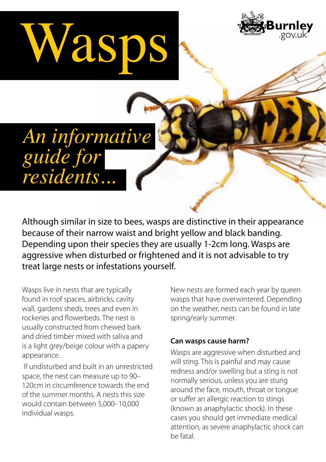# Wasps



## *An informative guide for residents...*

Although similar in size to bees, wasps are distinctive in their appearance because of their narrow waist and bright yellow and black banding. Depending upon their species they are usually 1-2cm long. Wasps are aggressive when disturbed or frightened and it is not advisable to try treat large nests or infestations yourself.

Wasps live in nests that are typically found in roof spaces, airbricks, cavity wall, gardens sheds, trees and even in rockeries and flowerbeds. The nest is usually constructed from chewed bark and dried timber mixed with saliva and is a light grey/beige colour with a papery appearance.

 If undisturbed and built in an unrestricted space, the nest can measure up to 90– 120cm in circumference towards the end of the summer months. A nests this size would contain between 5,000- 10,000 individual wasps.

New nests are formed each year by queen wasps that have overwintered. Depending on the weather, nests can be found in late spring/early summer.

#### **Can wasps cause harm?**

Wasps are aggressive when disturbed and will sting. This is painful and may cause redness and/or swelling but a sting is not normally serious, unless you are stung around the face, mouth, throat or tongue or suffer an allergic reaction to stings (known as anaphylactic shock). In these cases you should get immediate medical attention, as severe anaphylactic shock can be fatal.